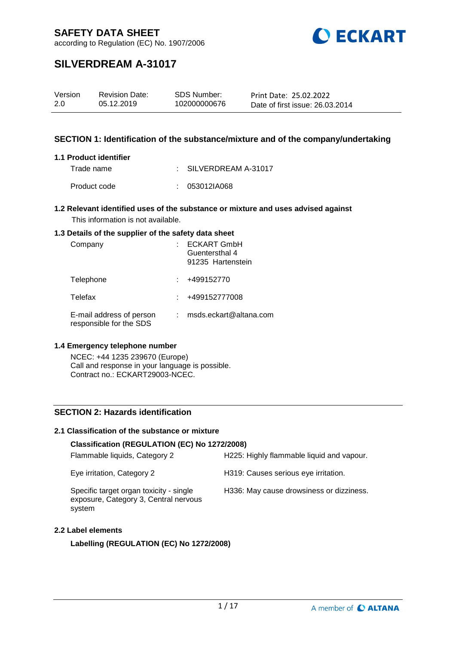

according to Regulation (EC) No. 1907/2006

# **SILVERDREAM A-31017**

| Version | <b>Revision Date:</b> | SDS Number:  | Print Date: 25.02.2022          |
|---------|-----------------------|--------------|---------------------------------|
| 2.0     | 05.12.2019            | 102000000676 | Date of first issue: 26.03.2014 |

### **SECTION 1: Identification of the substance/mixture and of the company/undertaking**

#### **1.1 Product identifier**

Trade name : SILVERDREAM A-31017

Product code : 053012IA068

#### **1.2 Relevant identified uses of the substance or mixture and uses advised against** This information is not available.

#### **1.3 Details of the supplier of the safety data sheet**

| Company                                             | <b>ECKART GmbH</b><br>Guentersthal 4<br>91235 Hartenstein |
|-----------------------------------------------------|-----------------------------------------------------------|
| Telephone                                           | +499152770                                                |
| Telefax                                             | +499152777008                                             |
| E-mail address of person<br>responsible for the SDS | msds.eckart@altana.com                                    |

#### **1.4 Emergency telephone number**

NCEC: +44 1235 239670 (Europe) Call and response in your language is possible. Contract no.: ECKART29003-NCEC.

#### **SECTION 2: Hazards identification**

#### **2.1 Classification of the substance or mixture**

#### **Classification (REGULATION (EC) No 1272/2008)**

| Flammable liquids, Category 2                                                              | H225: Highly flammable liquid and vapour. |
|--------------------------------------------------------------------------------------------|-------------------------------------------|
| Eye irritation, Category 2                                                                 | H319: Causes serious eye irritation.      |
| Specific target organ toxicity - single<br>exposure, Category 3, Central nervous<br>system | H336: May cause drowsiness or dizziness.  |

#### **2.2 Label elements**

**Labelling (REGULATION (EC) No 1272/2008)**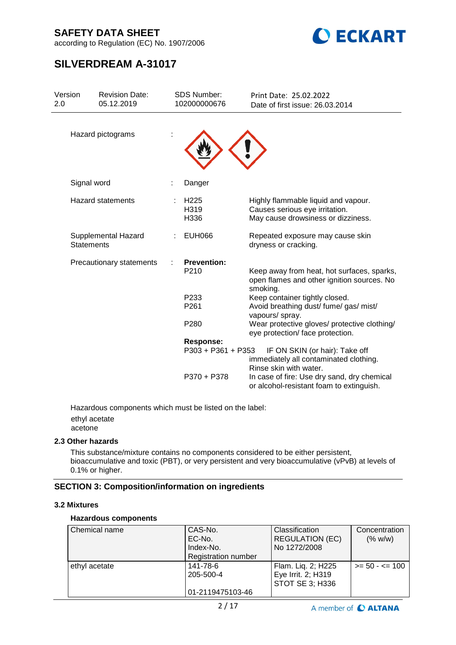

according to Regulation (EC) No. 1907/2006

# **SILVERDREAM A-31017**

| Version<br>2.0 | <b>Revision Date:</b><br>05.12.2019      | <b>SDS Number:</b><br>102000000676 | Print Date: 25.02.2022<br>Date of first issue: 26.03.2014                                                   |
|----------------|------------------------------------------|------------------------------------|-------------------------------------------------------------------------------------------------------------|
|                | Hazard pictograms                        |                                    |                                                                                                             |
|                | Signal word                              | Danger                             |                                                                                                             |
|                | Hazard statements                        | H <sub>225</sub><br>H319<br>H336   | Highly flammable liquid and vapour.<br>Causes serious eye irritation.<br>May cause drowsiness or dizziness. |
|                | Supplemental Hazard<br><b>Statements</b> | <b>EUH066</b>                      | Repeated exposure may cause skin<br>dryness or cracking.                                                    |
|                | Precautionary statements                 | <b>Prevention:</b><br>P210         | Keep away from heat, hot surfaces, sparks,<br>open flames and other ignition sources. No                    |
|                |                                          | P233                               | smoking.<br>Keep container tightly closed.                                                                  |
|                |                                          | P <sub>261</sub>                   | Avoid breathing dust/ fume/ gas/ mist/<br>vapours/ spray.                                                   |
|                |                                          | P280                               | Wear protective gloves/ protective clothing/<br>eye protection/face protection.                             |
|                |                                          | <b>Response:</b>                   |                                                                                                             |
|                |                                          | P303 + P361 + P353                 | IF ON SKIN (or hair): Take off<br>immediately all contaminated clothing.<br>Rinse skin with water.          |
|                |                                          | P370 + P378                        | In case of fire: Use dry sand, dry chemical<br>or alcohol-resistant foam to extinguish.                     |

Hazardous components which must be listed on the label: ethyl acetate acetone

#### **2.3 Other hazards**

This substance/mixture contains no components considered to be either persistent, bioaccumulative and toxic (PBT), or very persistent and very bioaccumulative (vPvB) at levels of 0.1% or higher.

### **SECTION 3: Composition/information on ingredients**

#### **3.2 Mixtures**

#### **Hazardous components**

| Chemical name | CAS-No.<br>EC-No.<br>Index-No.<br><b>Registration number</b> | <b>Classification</b><br><b>REGULATION (EC)</b><br>No 1272/2008    | Concentration<br>(% w/w) |
|---------------|--------------------------------------------------------------|--------------------------------------------------------------------|--------------------------|
| ethyl acetate | 141-78-6<br>205-500-4<br>01-2119475103-46                    | Flam. Liq. 2; H225<br>Eye Irrit. 2; H319<br><b>STOT SE 3; H336</b> | $>= 50 - 5 = 100$        |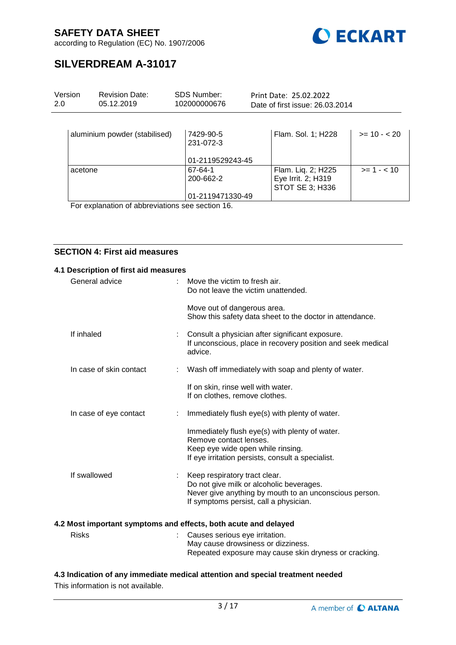

according to Regulation (EC) No. 1907/2006

# **SILVERDREAM A-31017**

| Version<br>2.0 | <b>Revision Date:</b><br>05.12.2019 | <b>SDS Number:</b><br>102000000676         | Print Date: 25.02.2022<br>Date of first issue: 26.03.2014   |               |
|----------------|-------------------------------------|--------------------------------------------|-------------------------------------------------------------|---------------|
|                | aluminium powder (stabilised)       | 7429-90-5<br>231-072-3<br>01-2119529243-45 | Flam. Sol. 1; H228                                          | $>= 10 - 20$  |
|                | acetone                             | 67-64-1<br>200-662-2<br>01-2119471330-49   | Flam. Liq. 2; H225<br>Eye Irrit. 2; H319<br>STOT SE 3; H336 | $>= 1 - < 10$ |

For explanation of abbreviations see section 16.

### **SECTION 4: First aid measures**

| 4.1 Description of first aid measures |                  |                                                                                                                                                                               |
|---------------------------------------|------------------|-------------------------------------------------------------------------------------------------------------------------------------------------------------------------------|
| General advice                        |                  | Move the victim to fresh air.<br>Do not leave the victim unattended.                                                                                                          |
|                                       |                  | Move out of dangerous area.<br>Show this safety data sheet to the doctor in attendance.                                                                                       |
| If inhaled                            |                  | Consult a physician after significant exposure.<br>If unconscious, place in recovery position and seek medical<br>advice.                                                     |
| In case of skin contact               |                  | : Wash off immediately with soap and plenty of water.                                                                                                                         |
|                                       |                  | If on skin, rinse well with water.<br>If on clothes, remove clothes.                                                                                                          |
| In case of eye contact                |                  | Immediately flush eye(s) with plenty of water.                                                                                                                                |
|                                       |                  | Immediately flush eye(s) with plenty of water.<br>Remove contact lenses.<br>Keep eye wide open while rinsing.<br>If eye irritation persists, consult a specialist.            |
| If swallowed                          | $\mathbb{R}^{n}$ | Keep respiratory tract clear.<br>Do not give milk or alcoholic beverages.<br>Never give anything by mouth to an unconscious person.<br>If symptoms persist, call a physician. |
|                                       |                  | 4.2 Most important symptoms and effects, both acute and delayed                                                                                                               |
| <b>Risks</b>                          |                  | Causes serious eye irritation.<br>May cause drowsiness or dizziness.                                                                                                          |

### **4.3 Indication of any immediate medical attention and special treatment needed**

This information is not available.

Repeated exposure may cause skin dryness or cracking.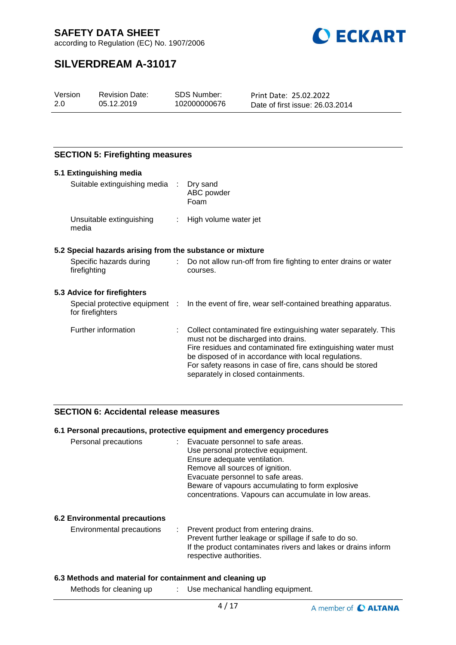

according to Regulation (EC) No. 1907/2006

# **SILVERDREAM A-31017**

| Version | <b>Revision Date:</b> | SDS Number:  | Print Date: 25.02.2022          |
|---------|-----------------------|--------------|---------------------------------|
| 2.0     | 05.12.2019            | 102000000676 | Date of first issue: 26.03.2014 |
|         |                       |              |                                 |

### **SECTION 5: Firefighting measures**

| 5.1 Extinguishing media                                   |                                                                                                                                                                                                                                                                                                                                  |
|-----------------------------------------------------------|----------------------------------------------------------------------------------------------------------------------------------------------------------------------------------------------------------------------------------------------------------------------------------------------------------------------------------|
| Suitable extinguishing media :                            | Dry sand<br>ABC powder<br>Foam                                                                                                                                                                                                                                                                                                   |
| Unsuitable extinguishing<br>media                         | : High volume water jet                                                                                                                                                                                                                                                                                                          |
| 5.2 Special hazards arising from the substance or mixture |                                                                                                                                                                                                                                                                                                                                  |
| Specific hazards during<br>firefighting                   | : Do not allow run-off from fire fighting to enter drains or water<br>courses.                                                                                                                                                                                                                                                   |
| 5.3 Advice for firefighters                               |                                                                                                                                                                                                                                                                                                                                  |
| for firefighters                                          | Special protective equipment : In the event of fire, wear self-contained breathing apparatus.                                                                                                                                                                                                                                    |
| Further information                                       | Collect contaminated fire extinguishing water separately. This<br>must not be discharged into drains.<br>Fire residues and contaminated fire extinguishing water must<br>be disposed of in accordance with local regulations.<br>For safety reasons in case of fire, cans should be stored<br>separately in closed containments. |

#### **SECTION 6: Accidental release measures**

#### **6.1 Personal precautions, protective equipment and emergency procedures**

| Personal precautions | : Evacuate personnel to safe areas.<br>Use personal protective equipment.<br>Ensure adequate ventilation.<br>Remove all sources of ignition.<br>Evacuate personnel to safe areas.<br>Beware of vapours accumulating to form explosive<br>concentrations. Vapours can accumulate in low areas. |
|----------------------|-----------------------------------------------------------------------------------------------------------------------------------------------------------------------------------------------------------------------------------------------------------------------------------------------|
|                      |                                                                                                                                                                                                                                                                                               |

#### **6.2 Environmental precautions**

| Environmental precautions | : Prevent product from entering drains.                       |
|---------------------------|---------------------------------------------------------------|
|                           | Prevent further leakage or spillage if safe to do so.         |
|                           | If the product contaminates rivers and lakes or drains inform |
|                           | respective authorities.                                       |

#### **6.3 Methods and material for containment and cleaning up**

Methods for cleaning up : Use mechanical handling equipment.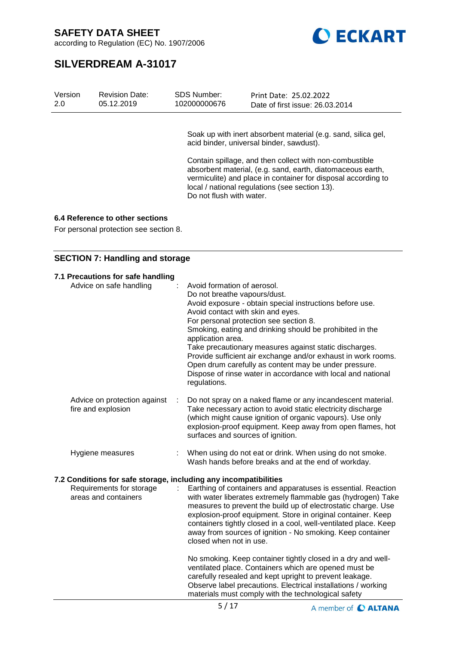

according to Regulation (EC) No. 1907/2006

# **SILVERDREAM A-31017**

| Version<br>2.0 | <b>Revision Date:</b><br>05.12.2019    | SDS Number:<br>102000000676 | Print Date: 25.02.2022<br>Date of first issue: 26.03.2014                                                                                                                                                                                |
|----------------|----------------------------------------|-----------------------------|------------------------------------------------------------------------------------------------------------------------------------------------------------------------------------------------------------------------------------------|
|                |                                        |                             |                                                                                                                                                                                                                                          |
|                |                                        |                             | Soak up with inert absorbent material (e.g. sand, silica gel,<br>acid binder, universal binder, sawdust).                                                                                                                                |
|                |                                        | Do not flush with water.    | Contain spillage, and then collect with non-combustible<br>absorbent material, (e.g. sand, earth, diatomaceous earth,<br>vermiculite) and place in container for disposal according to<br>local / national regulations (see section 13). |
|                | 6.4 Reference to other sections        |                             |                                                                                                                                                                                                                                          |
|                | For personal protection see section 8. |                             |                                                                                                                                                                                                                                          |
|                |                                        |                             |                                                                                                                                                                                                                                          |
|                | <b>SECTION 7: Handling and storage</b> |                             |                                                                                                                                                                                                                                          |
|                | 7.1 Precautions for safe handling      |                             |                                                                                                                                                                                                                                          |

| Advice on safe handling                                          | Avoid formation of aerosol.<br>Do not breathe vapours/dust.<br>Avoid exposure - obtain special instructions before use.<br>Avoid contact with skin and eyes.<br>For personal protection see section 8.<br>Smoking, eating and drinking should be prohibited in the<br>application area.<br>Take precautionary measures against static discharges.<br>Provide sufficient air exchange and/or exhaust in work rooms.<br>Open drum carefully as content may be under pressure.<br>Dispose of rinse water in accordance with local and national<br>regulations. |
|------------------------------------------------------------------|-------------------------------------------------------------------------------------------------------------------------------------------------------------------------------------------------------------------------------------------------------------------------------------------------------------------------------------------------------------------------------------------------------------------------------------------------------------------------------------------------------------------------------------------------------------|
| Advice on protection against<br>fire and explosion               | Do not spray on a naked flame or any incandescent material.<br>Take necessary action to avoid static electricity discharge<br>(which might cause ignition of organic vapours). Use only<br>explosion-proof equipment. Keep away from open flames, hot<br>surfaces and sources of ignition.                                                                                                                                                                                                                                                                  |
| Hygiene measures                                                 | When using do not eat or drink. When using do not smoke.<br>Wash hands before breaks and at the end of workday.                                                                                                                                                                                                                                                                                                                                                                                                                                             |
| 7.2 Conditions for safe storage, including any incompatibilities |                                                                                                                                                                                                                                                                                                                                                                                                                                                                                                                                                             |
| Requirements for storage<br>areas and containers                 | Earthing of containers and apparatuses is essential. Reaction<br>with water liberates extremely flammable gas (hydrogen) Take<br>measures to prevent the build up of electrostatic charge. Use<br>explosion-proof equipment. Store in original container. Keep<br>containers tightly closed in a cool, well-ventilated place. Keep<br>away from sources of ignition - No smoking. Keep container<br>closed when not in use.                                                                                                                                 |
|                                                                  | No smoking. Keep container tightly closed in a dry and well-<br>ventilated place. Containers which are opened must be<br>carefully resealed and kept upright to prevent leakage.<br>Observe label precautions. Electrical installations / working<br>materials must comply with the technological safety                                                                                                                                                                                                                                                    |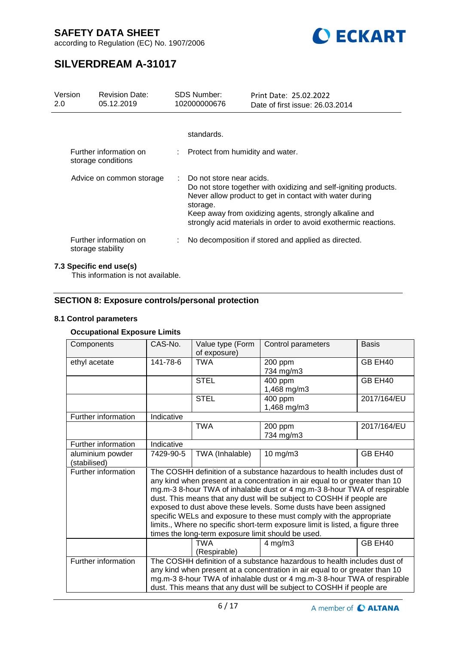

according to Regulation (EC) No. 1907/2006

# **SILVERDREAM A-31017**

| Version<br>2.0 | <b>Revision Date:</b><br>05.12.2019                                |  | SDS Number:<br>102000000676        | Print Date: 25.02.2022<br>Date of first issue: 26.03.2014                                                                                                                                                                                                |
|----------------|--------------------------------------------------------------------|--|------------------------------------|----------------------------------------------------------------------------------------------------------------------------------------------------------------------------------------------------------------------------------------------------------|
|                |                                                                    |  | standards.                         |                                                                                                                                                                                                                                                          |
|                | Further information on<br>storage conditions                       |  | : Protect from humidity and water. |                                                                                                                                                                                                                                                          |
|                | : Do not store near acids.<br>Advice on common storage<br>storage. |  |                                    | Do not store together with oxidizing and self-igniting products.<br>Never allow product to get in contact with water during<br>Keep away from oxidizing agents, strongly alkaline and<br>strongly acid materials in order to avoid exothermic reactions. |
|                | Further information on<br>storage stability                        |  |                                    | No decomposition if stored and applied as directed.                                                                                                                                                                                                      |

### **7.3 Specific end use(s)**

This information is not available.

## **SECTION 8: Exposure controls/personal protection**

#### **8.1 Control parameters**

### **Occupational Exposure Limits**

| Components                       | CAS-No.                                                                                                                                                                                                                                                                                                                                                                                                                                                                                                                                                                                           | Value type (Form<br>of exposure) | Control parameters     | <b>Basis</b> |  |  |
|----------------------------------|---------------------------------------------------------------------------------------------------------------------------------------------------------------------------------------------------------------------------------------------------------------------------------------------------------------------------------------------------------------------------------------------------------------------------------------------------------------------------------------------------------------------------------------------------------------------------------------------------|----------------------------------|------------------------|--------------|--|--|
| ethyl acetate                    | 141-78-6                                                                                                                                                                                                                                                                                                                                                                                                                                                                                                                                                                                          | <b>TWA</b>                       | 200 ppm<br>734 mg/m3   | GB EH40      |  |  |
|                                  |                                                                                                                                                                                                                                                                                                                                                                                                                                                                                                                                                                                                   | <b>STEL</b>                      | 400 ppm<br>1,468 mg/m3 | GB EH40      |  |  |
|                                  |                                                                                                                                                                                                                                                                                                                                                                                                                                                                                                                                                                                                   | <b>STEL</b>                      | 400 ppm<br>1,468 mg/m3 | 2017/164/EU  |  |  |
| Further information              | Indicative                                                                                                                                                                                                                                                                                                                                                                                                                                                                                                                                                                                        |                                  |                        |              |  |  |
|                                  |                                                                                                                                                                                                                                                                                                                                                                                                                                                                                                                                                                                                   | <b>TWA</b>                       | 200 ppm<br>734 mg/m3   | 2017/164/EU  |  |  |
| Further information              | Indicative                                                                                                                                                                                                                                                                                                                                                                                                                                                                                                                                                                                        |                                  |                        |              |  |  |
| aluminium powder<br>(stabilised) | 7429-90-5                                                                                                                                                                                                                                                                                                                                                                                                                                                                                                                                                                                         | TWA (Inhalable)                  | $10$ mg/m $3$          | GB EH40      |  |  |
| Further information              | The COSHH definition of a substance hazardous to health includes dust of<br>any kind when present at a concentration in air equal to or greater than 10<br>mg.m-3 8-hour TWA of inhalable dust or 4 mg.m-3 8-hour TWA of respirable<br>dust. This means that any dust will be subject to COSHH if people are<br>exposed to dust above these levels. Some dusts have been assigned<br>specific WELs and exposure to these must comply with the appropriate<br>limits., Where no specific short-term exposure limit is listed, a figure three<br>times the long-term exposure limit should be used. |                                  |                        |              |  |  |
|                                  |                                                                                                                                                                                                                                                                                                                                                                                                                                                                                                                                                                                                   | <b>TWA</b><br>(Respirable)       | $4$ mg/m $3$           | GB EH40      |  |  |
| Further information              | The COSHH definition of a substance hazardous to health includes dust of<br>any kind when present at a concentration in air equal to or greater than 10<br>mg.m-3 8-hour TWA of inhalable dust or 4 mg.m-3 8-hour TWA of respirable<br>dust. This means that any dust will be subject to COSHH if people are                                                                                                                                                                                                                                                                                      |                                  |                        |              |  |  |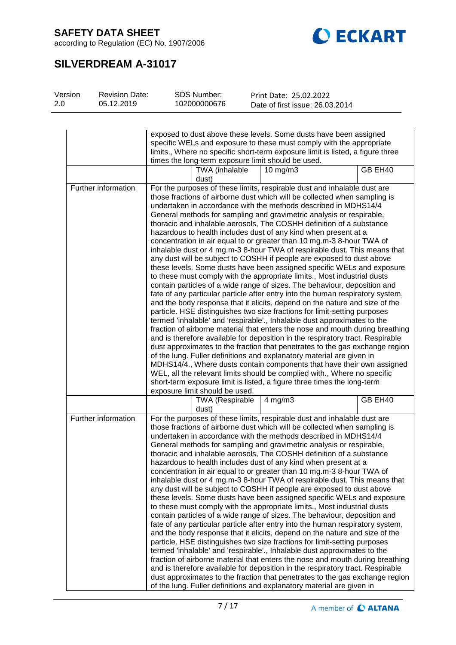according to Regulation (EC) No. 1907/2006



# **SILVERDREAM A-31017**

| Version | <b>Revision Date:</b> |                                                                          | SDS Number:                    | Print Date: 25.02.2022                                                         |         |  |  |  |
|---------|-----------------------|--------------------------------------------------------------------------|--------------------------------|--------------------------------------------------------------------------------|---------|--|--|--|
| 2.0     | 05.12.2019            |                                                                          | 102000000676                   | Date of first issue: 26.03.2014                                                |         |  |  |  |
|         |                       |                                                                          |                                |                                                                                |         |  |  |  |
|         |                       |                                                                          |                                |                                                                                |         |  |  |  |
|         |                       |                                                                          |                                |                                                                                |         |  |  |  |
|         |                       |                                                                          |                                | exposed to dust above these levels. Some dusts have been assigned              |         |  |  |  |
|         |                       |                                                                          |                                | specific WELs and exposure to these must comply with the appropriate           |         |  |  |  |
|         |                       |                                                                          |                                | limits., Where no specific short-term exposure limit is listed, a figure three |         |  |  |  |
|         |                       |                                                                          |                                | times the long-term exposure limit should be used.                             |         |  |  |  |
|         |                       |                                                                          | TWA (inhalable                 | 10 mg/m $3$                                                                    | GB EH40 |  |  |  |
|         |                       |                                                                          | dust)                          |                                                                                |         |  |  |  |
|         | Further information   |                                                                          |                                | For the purposes of these limits, respirable dust and inhalable dust are       |         |  |  |  |
|         |                       |                                                                          |                                | those fractions of airborne dust which will be collected when sampling is      |         |  |  |  |
|         |                       |                                                                          |                                |                                                                                |         |  |  |  |
|         |                       |                                                                          |                                | undertaken in accordance with the methods described in MDHS14/4                |         |  |  |  |
|         |                       |                                                                          |                                | General methods for sampling and gravimetric analysis or respirable,           |         |  |  |  |
|         |                       |                                                                          |                                | thoracic and inhalable aerosols, The COSHH definition of a substance           |         |  |  |  |
|         |                       |                                                                          |                                | hazardous to health includes dust of any kind when present at a                |         |  |  |  |
|         |                       |                                                                          |                                | concentration in air equal to or greater than 10 mg.m-3 8-hour TWA of          |         |  |  |  |
|         |                       |                                                                          |                                | inhalable dust or 4 mg.m-3 8-hour TWA of respirable dust. This means that      |         |  |  |  |
|         |                       |                                                                          |                                | any dust will be subject to COSHH if people are exposed to dust above          |         |  |  |  |
|         |                       |                                                                          |                                | these levels. Some dusts have been assigned specific WELs and exposure         |         |  |  |  |
|         |                       |                                                                          |                                | to these must comply with the appropriate limits., Most industrial dusts       |         |  |  |  |
|         |                       |                                                                          |                                | contain particles of a wide range of sizes. The behaviour, deposition and      |         |  |  |  |
|         |                       |                                                                          |                                | fate of any particular particle after entry into the human respiratory system, |         |  |  |  |
|         |                       |                                                                          |                                | and the body response that it elicits, depend on the nature and size of the    |         |  |  |  |
|         |                       |                                                                          |                                | particle. HSE distinguishes two size fractions for limit-setting purposes      |         |  |  |  |
|         |                       |                                                                          |                                | termed 'inhalable' and 'respirable'., Inhalable dust approximates to the       |         |  |  |  |
|         |                       |                                                                          |                                | fraction of airborne material that enters the nose and mouth during breathing  |         |  |  |  |
|         |                       |                                                                          |                                | and is therefore available for deposition in the respiratory tract. Respirable |         |  |  |  |
|         |                       |                                                                          |                                | dust approximates to the fraction that penetrates to the gas exchange region   |         |  |  |  |
|         |                       |                                                                          |                                |                                                                                |         |  |  |  |
|         |                       |                                                                          |                                | of the lung. Fuller definitions and explanatory material are given in          |         |  |  |  |
|         |                       |                                                                          |                                | MDHS14/4., Where dusts contain components that have their own assigned         |         |  |  |  |
|         |                       |                                                                          |                                | WEL, all the relevant limits should be complied with., Where no specific       |         |  |  |  |
|         |                       | short-term exposure limit is listed, a figure three times the long-term  |                                |                                                                                |         |  |  |  |
|         |                       |                                                                          | exposure limit should be used. |                                                                                |         |  |  |  |
|         |                       |                                                                          | <b>TWA (Respirable</b>         | $4$ mg/m $3$                                                                   | GB EH40 |  |  |  |
|         |                       |                                                                          | dust)                          |                                                                                |         |  |  |  |
|         | Further information   |                                                                          |                                | For the purposes of these limits, respirable dust and inhalable dust are       |         |  |  |  |
|         |                       |                                                                          |                                | those fractions of airborne dust which will be collected when sampling is      |         |  |  |  |
|         |                       |                                                                          |                                | undertaken in accordance with the methods described in MDHS14/4                |         |  |  |  |
|         |                       |                                                                          |                                | General methods for sampling and gravimetric analysis or respirable,           |         |  |  |  |
|         |                       |                                                                          |                                | thoracic and inhalable aerosols, The COSHH definition of a substance           |         |  |  |  |
|         |                       |                                                                          |                                | hazardous to health includes dust of any kind when present at a                |         |  |  |  |
|         |                       |                                                                          |                                | concentration in air equal to or greater than 10 mg.m-3 8-hour TWA of          |         |  |  |  |
|         |                       |                                                                          |                                | inhalable dust or 4 mg.m-3 8-hour TWA of respirable dust. This means that      |         |  |  |  |
|         |                       |                                                                          |                                |                                                                                |         |  |  |  |
|         |                       |                                                                          |                                | any dust will be subject to COSHH if people are exposed to dust above          |         |  |  |  |
|         |                       |                                                                          |                                | these levels. Some dusts have been assigned specific WELs and exposure         |         |  |  |  |
|         |                       | to these must comply with the appropriate limits., Most industrial dusts |                                |                                                                                |         |  |  |  |
|         |                       |                                                                          |                                | contain particles of a wide range of sizes. The behaviour, deposition and      |         |  |  |  |
|         |                       |                                                                          |                                | fate of any particular particle after entry into the human respiratory system, |         |  |  |  |
|         |                       |                                                                          |                                | and the body response that it elicits, depend on the nature and size of the    |         |  |  |  |
|         |                       |                                                                          |                                | particle. HSE distinguishes two size fractions for limit-setting purposes      |         |  |  |  |
|         |                       |                                                                          |                                | termed 'inhalable' and 'respirable'., Inhalable dust approximates to the       |         |  |  |  |
|         |                       |                                                                          |                                | fraction of airborne material that enters the nose and mouth during breathing  |         |  |  |  |
|         |                       |                                                                          |                                | and is therefore available for deposition in the respiratory tract. Respirable |         |  |  |  |
|         |                       |                                                                          |                                | dust approximates to the fraction that penetrates to the gas exchange region   |         |  |  |  |
|         |                       |                                                                          |                                | of the lung. Fuller definitions and explanatory material are given in          |         |  |  |  |
|         |                       |                                                                          |                                |                                                                                |         |  |  |  |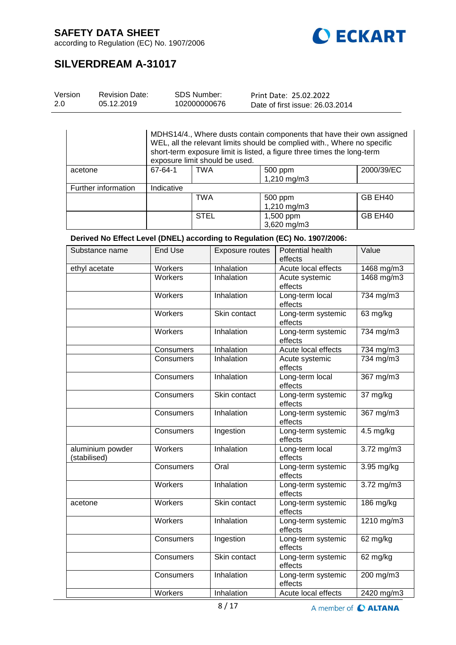

according to Regulation (EC) No. 1907/2006

# **SILVERDREAM A-31017**

| Version | <b>Revision Date:</b> | SDS Number:  | Print Date: 25.02.2022          |
|---------|-----------------------|--------------|---------------------------------|
| 2.0     | 05.12.2019            | 102000000676 | Date of first issue: 26.03.2014 |

MDHS14/4., Where dusts contain components that have their own assigned WEL, all the relevant limits should be complied with., Where no specific short-term exposure limit is listed, a figure three times the long-term  $\frac{1}{67.64.1}$   $\frac{1}{100}$  FM and the used. 2000/39/EC

| acetone             | 67-64-1    | <b>TWA</b>  | 500 ppm<br>1,210 mg/m3   | 2000/39/EC |
|---------------------|------------|-------------|--------------------------|------------|
| Further information | Indicative |             |                          |            |
|                     |            | TWA         | 500 ppm<br>1,210 mg/m3   | GB EH40    |
|                     |            | <b>STEL</b> | 1,500 ppm<br>3,620 mg/m3 | GB EH40    |

**Derived No Effect Level (DNEL) according to Regulation (EC) No. 1907/2006:**

| Substance name                   | <b>End Use</b> | <b>Exposure routes</b> | Potential health<br>effects   | Value                     |
|----------------------------------|----------------|------------------------|-------------------------------|---------------------------|
| ethyl acetate                    | Workers        | Inhalation             | Acute local effects           | 1468 mg/m3                |
|                                  | <b>Workers</b> | Inhalation             | Acute systemic<br>effects     | 1468 mg/m3                |
|                                  | <b>Workers</b> | Inhalation             | Long-term local<br>effects    | 734 mg/m3                 |
|                                  | Workers        | Skin contact           | Long-term systemic<br>effects | 63 mg/kg                  |
|                                  | Workers        | Inhalation             | Long-term systemic<br>effects | $\overline{7}34$ mg/m $3$ |
|                                  | Consumers      | Inhalation             | Acute local effects           | 734 mg/m3                 |
|                                  | Consumers      | Inhalation             | Acute systemic<br>effects     | 734 mg/m3                 |
|                                  | Consumers      | Inhalation             | Long-term local<br>effects    | 367 mg/m3                 |
|                                  | Consumers      | Skin contact           | Long-term systemic<br>effects | $37 \,\mathrm{mg/kg}$     |
|                                  | Consumers      | Inhalation             | Long-term systemic<br>effects | 367 mg/m3                 |
|                                  | Consumers      | Ingestion              | Long-term systemic<br>effects | $4.5$ mg/kg               |
| aluminium powder<br>(stabilised) | Workers        | Inhalation             | Long-term local<br>effects    | 3.72 mg/m3                |
|                                  | Consumers      | Oral                   | Long-term systemic<br>effects | 3.95 mg/kg                |
|                                  | Workers        | Inhalation             | Long-term systemic<br>effects | 3.72 mg/m3                |
| acetone                          | Workers        | Skin contact           | Long-term systemic<br>effects | 186 mg/kg                 |
|                                  | Workers        | Inhalation             | Long-term systemic<br>effects | 1210 mg/m3                |
|                                  | Consumers      | Ingestion              | Long-term systemic<br>effects | 62 mg/kg                  |
|                                  | Consumers      | Skin contact           | Long-term systemic<br>effects | 62 mg/kg                  |
|                                  | Consumers      | Inhalation             | Long-term systemic<br>effects | $200$ mg/m3               |
|                                  | Workers        | Inhalation             | Acute local effects           | 2420 mg/m3                |

A member of C ALTANA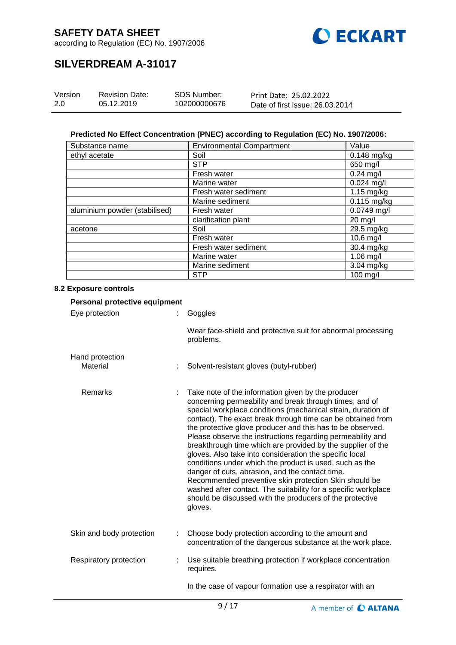

according to Regulation (EC) No. 1907/2006

# **SILVERDREAM A-31017**

| Version | <b>Revision Date:</b> | SDS Number:  | Print Date: 25.02.2022          |
|---------|-----------------------|--------------|---------------------------------|
| 2.0     | 05.12.2019            | 102000000676 | Date of first issue: 26.03.2014 |

#### **Predicted No Effect Concentration (PNEC) according to Regulation (EC) No. 1907/2006:**

| Substance name                | <b>Environmental Compartment</b> | Value         |
|-------------------------------|----------------------------------|---------------|
| ethyl acetate                 | Soil                             | 0.148 mg/kg   |
|                               | <b>STP</b>                       | 650 mg/l      |
|                               | Fresh water                      | $0.24$ mg/l   |
|                               | Marine water                     | $0.024$ mg/l  |
|                               | Fresh water sediment             | 1.15 mg/kg    |
|                               | Marine sediment                  | $0.115$ mg/kg |
| aluminium powder (stabilised) | Fresh water                      | $0.0749$ mg/l |
|                               | clarification plant              | 20 mg/l       |
| acetone                       | Soil                             | 29.5 mg/kg    |
|                               | Fresh water                      | 10.6 mg/l     |
|                               | Fresh water sediment             | 30.4 mg/kg    |
|                               | Marine water                     | 1.06 mg/l     |
|                               | Marine sediment                  | 3.04 mg/kg    |
|                               | <b>STP</b>                       | 100 mg/l      |

#### **8.2 Exposure controls**

| Personal protective equipment |  |                                                                                                                                                                                                                                                                                                                                                                                                                                                                                                                                                                                                                                                                                                                                                                                                                    |  |  |
|-------------------------------|--|--------------------------------------------------------------------------------------------------------------------------------------------------------------------------------------------------------------------------------------------------------------------------------------------------------------------------------------------------------------------------------------------------------------------------------------------------------------------------------------------------------------------------------------------------------------------------------------------------------------------------------------------------------------------------------------------------------------------------------------------------------------------------------------------------------------------|--|--|
| Eye protection                |  | Goggles                                                                                                                                                                                                                                                                                                                                                                                                                                                                                                                                                                                                                                                                                                                                                                                                            |  |  |
|                               |  | Wear face-shield and protective suit for abnormal processing<br>problems.                                                                                                                                                                                                                                                                                                                                                                                                                                                                                                                                                                                                                                                                                                                                          |  |  |
| Hand protection<br>Material   |  | Solvent-resistant gloves (butyl-rubber)                                                                                                                                                                                                                                                                                                                                                                                                                                                                                                                                                                                                                                                                                                                                                                            |  |  |
| Remarks                       |  | Take note of the information given by the producer<br>concerning permeability and break through times, and of<br>special workplace conditions (mechanical strain, duration of<br>contact). The exact break through time can be obtained from<br>the protective glove producer and this has to be observed.<br>Please observe the instructions regarding permeability and<br>breakthrough time which are provided by the supplier of the<br>gloves. Also take into consideration the specific local<br>conditions under which the product is used, such as the<br>danger of cuts, abrasion, and the contact time.<br>Recommended preventive skin protection Skin should be<br>washed after contact. The suitability for a specific workplace<br>should be discussed with the producers of the protective<br>gloves. |  |  |
| Skin and body protection      |  | Choose body protection according to the amount and<br>concentration of the dangerous substance at the work place.                                                                                                                                                                                                                                                                                                                                                                                                                                                                                                                                                                                                                                                                                                  |  |  |
| Respiratory protection        |  | Use suitable breathing protection if workplace concentration<br>requires.                                                                                                                                                                                                                                                                                                                                                                                                                                                                                                                                                                                                                                                                                                                                          |  |  |
|                               |  | In the case of vapour formation use a respirator with an                                                                                                                                                                                                                                                                                                                                                                                                                                                                                                                                                                                                                                                                                                                                                           |  |  |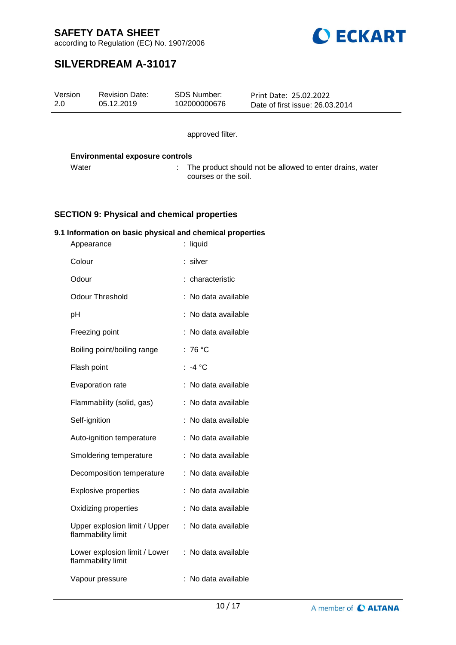

according to Regulation (EC) No. 1907/2006

# **SILVERDREAM A-31017**

| Version<br>2.0 |               | <b>Revision Date:</b><br>05.12.2019                       | <b>SDS Number:</b><br>102000000676 | Print Date: 25.02.2022<br>Date of first issue: 26.03.2014 |
|----------------|---------------|-----------------------------------------------------------|------------------------------------|-----------------------------------------------------------|
|                |               |                                                           | approved filter.                   |                                                           |
|                |               | <b>Environmental exposure controls</b>                    |                                    |                                                           |
|                | Water         |                                                           | courses or the soil.               | The product should not be allowed to enter drains, water  |
|                |               |                                                           |                                    |                                                           |
|                |               | <b>SECTION 9: Physical and chemical properties</b>        |                                    |                                                           |
|                | Appearance    | 9.1 Information on basic physical and chemical properties | : liquid                           |                                                           |
|                | Colour        |                                                           | : silver                           |                                                           |
|                | Odour         |                                                           | : characteristic                   |                                                           |
|                |               | <b>Odour Threshold</b>                                    | : No data available                |                                                           |
|                | pH            |                                                           | : No data available                |                                                           |
|                |               | Freezing point                                            | : No data available                |                                                           |
|                |               | Boiling point/boiling range                               | : 76 $^{\circ}$ C                  |                                                           |
|                | Flash point   |                                                           | : $-4^{\circ}$ C                   |                                                           |
|                |               | Evaporation rate                                          | : No data available                |                                                           |
|                |               | Flammability (solid, gas)                                 | : No data available                |                                                           |
|                | Self-ignition |                                                           | : No data available                |                                                           |
|                |               | Auto-ignition temperature                                 | : No data available                |                                                           |
|                |               | Smoldering temperature                                    | : No data available                |                                                           |
|                |               | Decomposition temperature                                 | : No data available                |                                                           |
|                |               | <b>Explosive properties</b>                               | : No data available                |                                                           |
|                |               | Oxidizing properties                                      | : No data available                |                                                           |
|                |               | Upper explosion limit / Upper<br>flammability limit       | : No data available                |                                                           |
|                |               | Lower explosion limit / Lower<br>flammability limit       | : No data available                |                                                           |
|                |               | Vapour pressure                                           | : No data available                |                                                           |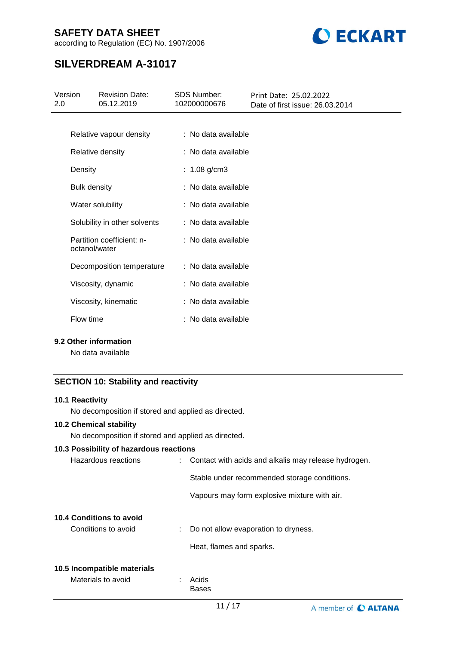according to Regulation (EC) No. 1907/2006



# **SILVERDREAM A-31017**

| Version<br>2.0 | <b>Revision Date:</b><br>05.12.2019        | <b>SDS Number:</b><br>102000000676 | Print Date: 25.02.2022<br>Date of first issue: 26.03.2014 |
|----------------|--------------------------------------------|------------------------------------|-----------------------------------------------------------|
|                |                                            |                                    |                                                           |
|                | Relative vapour density                    | : No data available                |                                                           |
|                | Relative density                           | : No data available                |                                                           |
| Density        |                                            | : $1.08$ g/cm3                     |                                                           |
|                | <b>Bulk density</b>                        | : No data available                |                                                           |
|                | Water solubility                           | : No data available                |                                                           |
|                | Solubility in other solvents               | : No data available                |                                                           |
|                | Partition coefficient: n-<br>octanol/water | $:$ No data available              |                                                           |
|                | Decomposition temperature                  | : No data available                |                                                           |
|                | Viscosity, dynamic                         | : No data available                |                                                           |
|                | Viscosity, kinematic                       | : No data available                |                                                           |
| Flow time      |                                            | : No data available                |                                                           |
|                |                                            |                                    |                                                           |

### **9.2 Other information**

No data available

### **SECTION 10: Stability and reactivity**

#### **10.1 Reactivity**

No decomposition if stored and applied as directed.

### **10.2 Chemical stability**

No decomposition if stored and applied as directed.

#### **10.3 Possibility of hazardous reactions**

| Hazardous reactions             | : Contact with acids and alkalis may release hydrogen. |
|---------------------------------|--------------------------------------------------------|
|                                 | Stable under recommended storage conditions.           |
|                                 | Vapours may form explosive mixture with air.           |
| <b>10.4 Conditions to avoid</b> |                                                        |
| Conditions to avoid             | : Do not allow evaporation to dryness.                 |
|                                 | Heat, flames and sparks.                               |
| 10.5 Incompatible materials     |                                                        |
| Materials to avoid              | Acids                                                  |
|                                 | <b>Bases</b>                                           |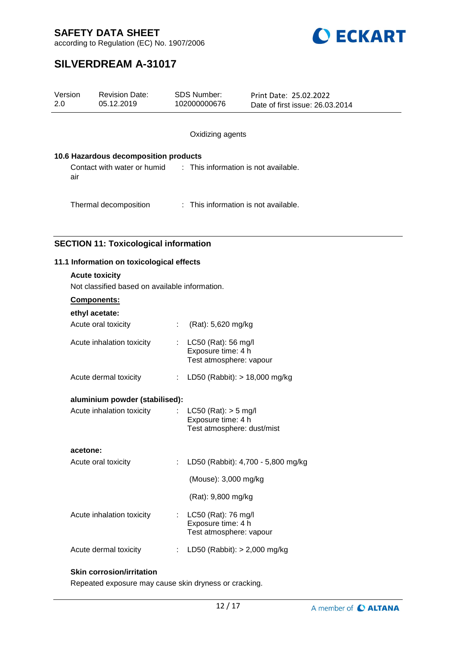

according to Regulation (EC) No. 1907/2006

# **SILVERDREAM A-31017**

| Version<br>2.0                                                          | <b>Revision Date:</b><br>05.12.2019          | <b>SDS Number:</b><br>102000000676                                           | Print Date: 25.02.2022<br>Date of first issue: 26.03.2014 |  |  |  |  |  |
|-------------------------------------------------------------------------|----------------------------------------------|------------------------------------------------------------------------------|-----------------------------------------------------------|--|--|--|--|--|
|                                                                         |                                              | Oxidizing agents                                                             |                                                           |  |  |  |  |  |
| 10.6 Hazardous decomposition products                                   |                                              |                                                                              |                                                           |  |  |  |  |  |
| Contact with water or humid<br>air                                      |                                              |                                                                              | : This information is not available.                      |  |  |  |  |  |
|                                                                         | Thermal decomposition                        |                                                                              | : This information is not available.                      |  |  |  |  |  |
|                                                                         | <b>SECTION 11: Toxicological information</b> |                                                                              |                                                           |  |  |  |  |  |
|                                                                         | 11.1 Information on toxicological effects    |                                                                              |                                                           |  |  |  |  |  |
| <b>Acute toxicity</b><br>Not classified based on available information. |                                              |                                                                              |                                                           |  |  |  |  |  |
|                                                                         | Components:                                  |                                                                              |                                                           |  |  |  |  |  |
|                                                                         | ethyl acetate:                               |                                                                              |                                                           |  |  |  |  |  |
|                                                                         | Acute oral toxicity                          | (Rat): 5,620 mg/kg                                                           |                                                           |  |  |  |  |  |
|                                                                         | Acute inhalation toxicity                    | LC50 (Rat): 56 mg/l<br>Exposure time: 4 h<br>Test atmosphere: vapour         |                                                           |  |  |  |  |  |
|                                                                         | Acute dermal toxicity                        | LD50 (Rabbit): $> 18,000$ mg/kg                                              |                                                           |  |  |  |  |  |
|                                                                         | aluminium powder (stabilised):               |                                                                              |                                                           |  |  |  |  |  |
|                                                                         | Acute inhalation toxicity                    | $LC50$ (Rat): $> 5$ mg/l<br>Exposure time: 4 h<br>Test atmosphere: dust/mist |                                                           |  |  |  |  |  |

**acetone:**

| Acute oral toxicity       | LD50 (Rabbit): 4,700 - 5,800 mg/kg                                   |
|---------------------------|----------------------------------------------------------------------|
|                           | (Mouse): 3,000 mg/kg                                                 |
|                           | (Rat): 9,800 mg/kg                                                   |
| Acute inhalation toxicity | LC50 (Rat): 76 mg/l<br>Exposure time: 4 h<br>Test atmosphere: vapour |
| Acute dermal toxicity     | LD50 (Rabbit): $> 2,000$ mg/kg                                       |

#### **Skin corrosion/irritation**

Repeated exposure may cause skin dryness or cracking.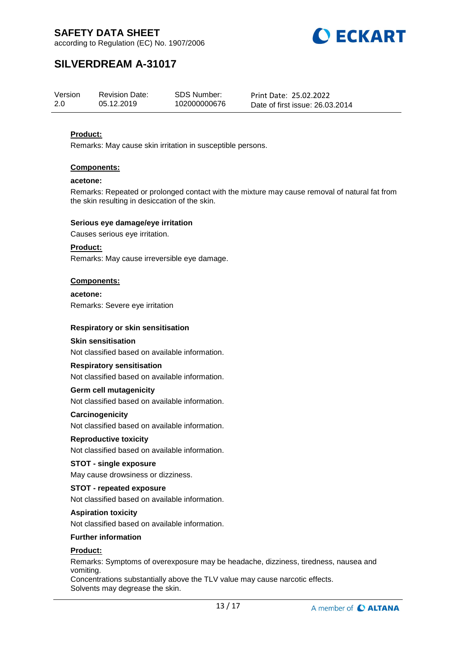



# **SILVERDREAM A-31017**

| Version | <b>Revision Date:</b> | SDS Number:  | Print Date: 25.02.2022          |
|---------|-----------------------|--------------|---------------------------------|
| 2.0     | 05.12.2019            | 102000000676 | Date of first issue: 26.03.2014 |

#### **Product:**

Remarks: May cause skin irritation in susceptible persons.

#### **Components:**

#### **acetone:**

Remarks: Repeated or prolonged contact with the mixture may cause removal of natural fat from the skin resulting in desiccation of the skin.

#### **Serious eye damage/eye irritation**

Causes serious eye irritation.

#### **Product:**

Remarks: May cause irreversible eye damage.

#### **Components:**

**acetone:** Remarks: Severe eye irritation

#### **Respiratory or skin sensitisation**

#### **Skin sensitisation**

Not classified based on available information.

#### **Respiratory sensitisation**

Not classified based on available information.

#### **Germ cell mutagenicity**

Not classified based on available information.

#### **Carcinogenicity**

Not classified based on available information.

#### **Reproductive toxicity**

Not classified based on available information.

#### **STOT - single exposure**

May cause drowsiness or dizziness.

#### **STOT - repeated exposure**

Not classified based on available information.

#### **Aspiration toxicity**

Not classified based on available information.

#### **Further information**

### **Product:**

Remarks: Symptoms of overexposure may be headache, dizziness, tiredness, nausea and vomiting. Concentrations substantially above the TLV value may cause narcotic effects.

Solvents may degrease the skin.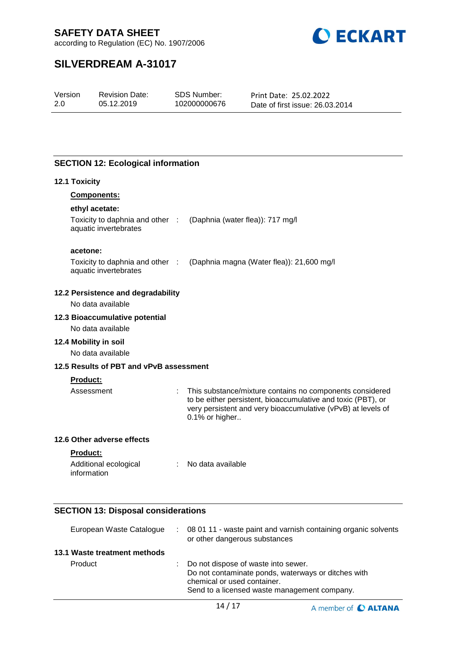

according to Regulation (EC) No. 1907/2006

# **SILVERDREAM A-31017**

| 2.0<br>05.12.2019<br>102000000676<br>Date of first issue: 26.03.2014 | Version | <b>Revision Date:</b> | SDS Number: | Print Date: 25.02.2022 |  |
|----------------------------------------------------------------------|---------|-----------------------|-------------|------------------------|--|
|----------------------------------------------------------------------|---------|-----------------------|-------------|------------------------|--|

### **SECTION 12: Ecological information**

#### **12.1 Toxicity**

| <b>Components:</b> |  |
|--------------------|--|
|                    |  |

### **ethyl acetate:**

| Toxicity to daphnia and other : | (Daphnia (water flea)): 717 mg/l |
|---------------------------------|----------------------------------|
| aquatic invertebrates           |                                  |

#### **acetone:**

Toxicity to daphnia and other : (Daphnia magna (Water flea)): 21,600 mg/l aquatic invertebrates

#### **12.2 Persistence and degradability**

No data available

#### **12.3 Bioaccumulative potential**

No data available

#### **12.4 Mobility in soil**

No data available

### **12.5 Results of PBT and vPvB assessment**

#### **Product:**

Assessment : This substance/mixture contains no components considered to be either persistent, bioaccumulative and toxic (PBT), or very persistent and very bioaccumulative (vPvB) at levels of 0.1% or higher..

#### **12.6 Other adverse effects**

#### **Product:**

| Additional ecological | No data available |
|-----------------------|-------------------|
| information           |                   |

# **SECTION 13: Disposal considerations**

| European Waste Catalogue     | : 08 01 11 - waste paint and varnish containing organic solvents<br>or other dangerous substances                                                                           |
|------------------------------|-----------------------------------------------------------------------------------------------------------------------------------------------------------------------------|
| 13.1 Waste treatment methods |                                                                                                                                                                             |
| Product                      | : Do not dispose of waste into sewer.<br>Do not contaminate ponds, waterways or ditches with<br>chemical or used container.<br>Send to a licensed waste management company. |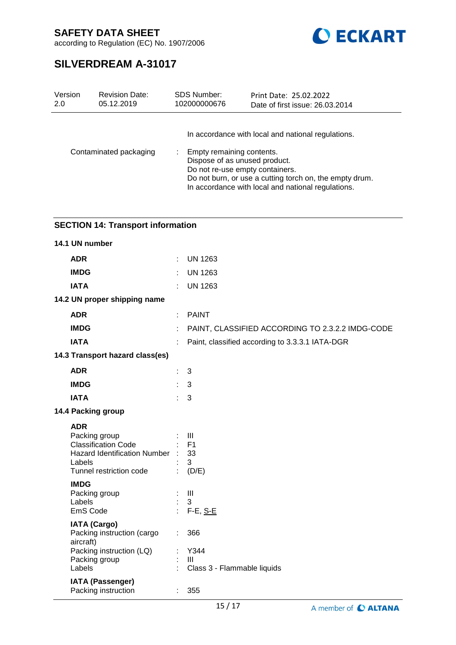

according to Regulation (EC) No. 1907/2006

# **SILVERDREAM A-31017**

| Version | <b>Revision Date:</b>  | SDS Number:                                                | Print Date: 25.02.2022                                                                                                                                                                                 |
|---------|------------------------|------------------------------------------------------------|--------------------------------------------------------------------------------------------------------------------------------------------------------------------------------------------------------|
| 2.0     | 05.12.2019             | 102000000676                                               | Date of first issue: 26.03.2014                                                                                                                                                                        |
|         | Contaminated packaging | Empty remaining contents.<br>Dispose of as unused product. | In accordance with local and national regulations.<br>Do not re-use empty containers.<br>Do not burn, or use a cutting torch on, the empty drum.<br>In accordance with local and national regulations. |

| <b>SECTION 14: Transport information</b>                                                                                                                         |    |                                                                        |  |  |
|------------------------------------------------------------------------------------------------------------------------------------------------------------------|----|------------------------------------------------------------------------|--|--|
| 14.1 UN number                                                                                                                                                   |    |                                                                        |  |  |
| <b>ADR</b>                                                                                                                                                       | ÷. | <b>UN 1263</b>                                                         |  |  |
| <b>IMDG</b>                                                                                                                                                      | ÷. | <b>UN 1263</b>                                                         |  |  |
| <b>IATA</b>                                                                                                                                                      |    | <b>UN 1263</b>                                                         |  |  |
| 14.2 UN proper shipping name                                                                                                                                     |    |                                                                        |  |  |
| <b>ADR</b>                                                                                                                                                       |    | <b>PAINT</b>                                                           |  |  |
| <b>IMDG</b>                                                                                                                                                      |    | PAINT, CLASSIFIED ACCORDING TO 2.3.2.2 IMDG-CODE                       |  |  |
| <b>IATA</b>                                                                                                                                                      |    | Paint, classified according to 3.3.3.1 IATA-DGR                        |  |  |
| 14.3 Transport hazard class(es)                                                                                                                                  |    |                                                                        |  |  |
| <b>ADR</b>                                                                                                                                                       | ÷  | 3                                                                      |  |  |
| <b>IMDG</b>                                                                                                                                                      | ÷. | 3                                                                      |  |  |
| <b>IATA</b>                                                                                                                                                      |    | 3                                                                      |  |  |
| 14.4 Packing group                                                                                                                                               |    |                                                                        |  |  |
| <b>ADR</b><br>Packing group<br><b>Classification Code</b><br>Hazard Identification Number :<br>Labels<br>Tunnel restriction code<br><b>IMDG</b><br>Packing group |    | $\mathbf{III}$<br>F <sub>1</sub><br>33<br>3<br>(D/E)<br>$\mathbf{III}$ |  |  |
| Labels<br>EmS Code                                                                                                                                               | ÷. | 3<br>$F-E$ , $S-E$                                                     |  |  |
| <b>IATA (Cargo)</b><br>Packing instruction (cargo<br>aircraft)<br>Packing instruction (LQ)<br>Packing group<br>Labels                                            | ÷. | 366<br>Y344<br>Ш<br>Class 3 - Flammable liquids                        |  |  |
| <b>IATA (Passenger)</b>                                                                                                                                          |    |                                                                        |  |  |

Packing instruction : 355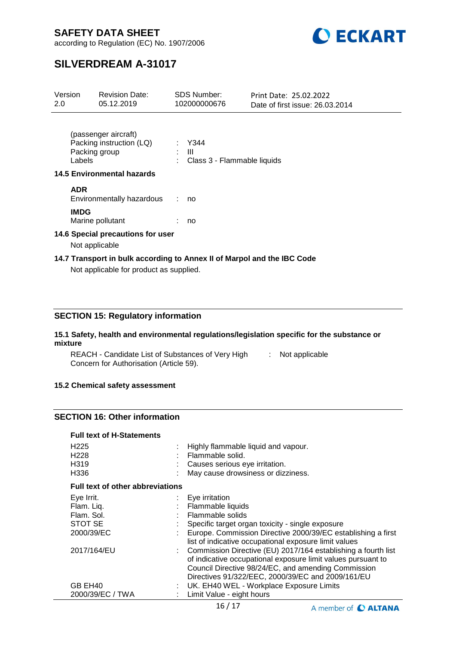

according to Regulation (EC) No. 1907/2006

# **SILVERDREAM A-31017**

| Version<br>2.0                                                                                                   |                | <b>Revision Date:</b><br>05.12.2019                                     | <b>SDS Number:</b><br>102000000676 | Print Date: 25.02.2022<br>Date of first issue: 26.03.2014 |
|------------------------------------------------------------------------------------------------------------------|----------------|-------------------------------------------------------------------------|------------------------------------|-----------------------------------------------------------|
| (passenger aircraft)<br>Packing instruction (LQ)<br>Packing group<br>Labels<br><b>14.5 Environmental hazards</b> |                | Y344<br>Ш<br>Class 3 - Flammable liquids                                |                                    |                                                           |
|                                                                                                                  | <b>ADR</b>     | Environmentally hazardous                                               | no                                 |                                                           |
|                                                                                                                  | <b>IMDG</b>    | Marine pollutant                                                        | no                                 |                                                           |
|                                                                                                                  | Not applicable | 14.6 Special precautions for user                                       |                                    |                                                           |
|                                                                                                                  |                | 14.7 Transport in bulk according to Annex II of Marpol and the IBC Code |                                    |                                                           |

Not applicable for product as supplied.

### **SECTION 15: Regulatory information**

#### **15.1 Safety, health and environmental regulations/legislation specific for the substance or mixture**

REACH - Candidate List of Substances of Very High [155] Not applicable Concern for Authorisation (Article 59).

#### **15.2 Chemical safety assessment**

### **SECTION 16: Other information**

#### **Full text of H-Statements**

| H <sub>225</sub><br>H <sub>228</sub>    |  | : Highly flammable liquid and vapour.<br>Flammable solid.                                                                                                                                                                                   |  |  |
|-----------------------------------------|--|---------------------------------------------------------------------------------------------------------------------------------------------------------------------------------------------------------------------------------------------|--|--|
| H319                                    |  | Causes serious eye irritation.                                                                                                                                                                                                              |  |  |
| H336                                    |  | May cause drowsiness or dizziness.                                                                                                                                                                                                          |  |  |
| <b>Full text of other abbreviations</b> |  |                                                                                                                                                                                                                                             |  |  |
| Eye Irrit.                              |  | $\therefore$ Eye irritation                                                                                                                                                                                                                 |  |  |
| Flam. Liq.                              |  | Flammable liquids                                                                                                                                                                                                                           |  |  |
| Flam. Sol.                              |  | Flammable solids                                                                                                                                                                                                                            |  |  |
| STOT SE                                 |  | Specific target organ toxicity - single exposure                                                                                                                                                                                            |  |  |
| 2000/39/EC                              |  | Europe. Commission Directive 2000/39/EC establishing a first<br>list of indicative occupational exposure limit values                                                                                                                       |  |  |
| 2017/164/EU                             |  | : Commission Directive (EU) 2017/164 establishing a fourth list<br>of indicative occupational exposure limit values pursuant to<br>Council Directive 98/24/EC, and amending Commission<br>Directives 91/322/EEC, 2000/39/EC and 2009/161/EU |  |  |
| GB EH40                                 |  | : UK. EH40 WEL - Workplace Exposure Limits                                                                                                                                                                                                  |  |  |
| 2000/39/EC / TWA                        |  | Limit Value - eight hours                                                                                                                                                                                                                   |  |  |